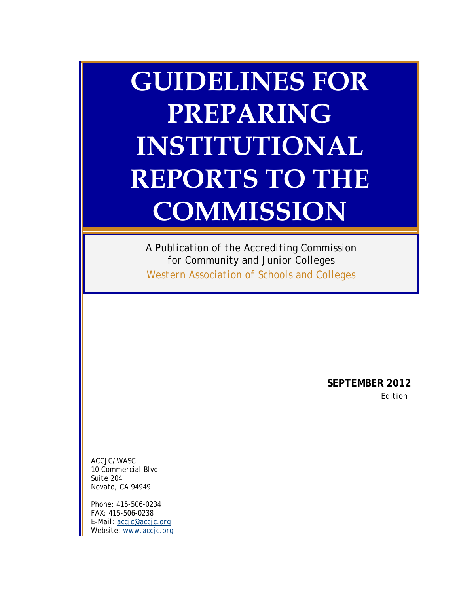# **GUIDELINES FOR PREPARING INSTITUTIONAL REPORTS TO THE COMMISSION**

*A Publication of the Accrediting Commission for Community and Junior Colleges Western Association of Schools and Colleges* 

> **SEPTEMBER 2012**  *Edition*

*ACCJC/WASC 10 Commercial Blvd. Suite 204 Novato, CA 94949* 

*Phone: 415-506-0234 FAX: 415-506-0238 E-Mail: accjc@accjc.org Website: www.accjc.org*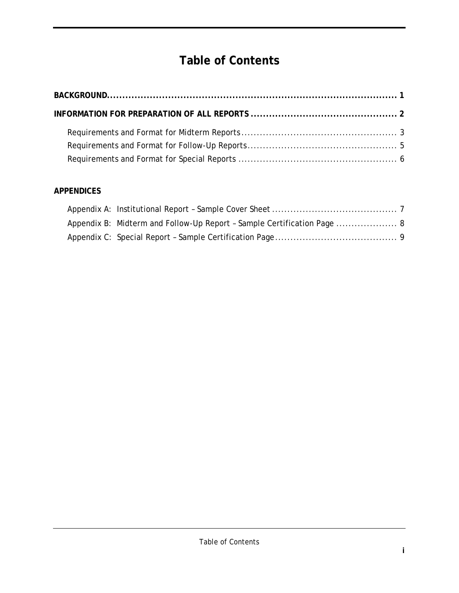## **Table of Contents**

| <b>Table of Contents</b> |  |
|--------------------------|--|
|                          |  |
|                          |  |
|                          |  |
|                          |  |
|                          |  |

#### **APPENDICES**

| Appendix B: Midterm and Follow-Up Report - Sample Certification Page  8 |  |
|-------------------------------------------------------------------------|--|
|                                                                         |  |
|                                                                         |  |
|                                                                         |  |
|                                                                         |  |
|                                                                         |  |
|                                                                         |  |
|                                                                         |  |
|                                                                         |  |
|                                                                         |  |
|                                                                         |  |
|                                                                         |  |
|                                                                         |  |
| Table of Contents                                                       |  |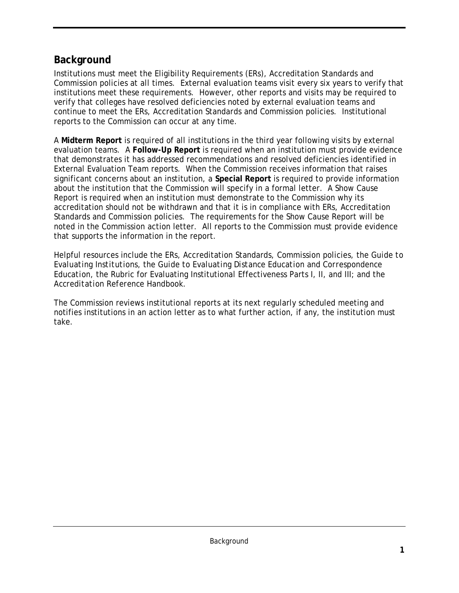#### **Background**

 Commission policies at all times. External evaluation teams visit every six years to verify that continue to meet the ERs, Accreditation Standards and Commission policies. Institutional Institutions must meet the Eligibility Requirements (ERs), Accreditation Standards and institutions meet these requirements. However, other reports and visits may be required to verify that colleges have resolved deficiencies noted by external evaluation teams and reports to the Commission can occur at any time.

 about the institution that the Commission will specify in a formal letter. A Show Cause noted in the Commission action letter. All reports to the Commission must provide evidence A **Midterm Report** is required of all institutions in the third year following visits by external evaluation teams. A **Follow-Up Report** is required when an institution must provide evidence that demonstrates it has addressed recommendations and resolved deficiencies identified in External Evaluation Team reports. When the Commission receives information that raises significant concerns about an institution, a **Special Report** is required to provide information Report is required when an institution must demonstrate to the Commission why its accreditation should not be withdrawn and that it is in compliance with ERs, Accreditation Standards and Commission policies. The requirements for the Show Cause Report will be that supports the information in the report.

Helpful resources include the ERs, Accreditation Standards, Commission policies, the *Guide to Evaluating Institutions*, the *Guide to Evaluating Distance Education and Correspondence Education*, the Rubric for Evaluating Institutional Effectiveness Parts I, II, and III; and the *Accreditation Reference Handbook*.

The Commission reviews institutional reports at its next regularly scheduled meeting and notifies institutions in an action letter as to what further action, if any, the institution must take.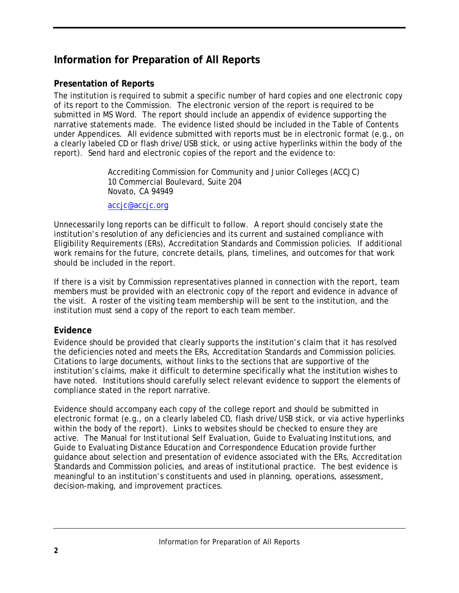#### **Information for Preparation of All Reports**

#### **Presentation of Reports**

The institution is required to submit a specific number of hard copies and one electronic copy of its report to the Commission. The electronic version of the report is required to be submitted in MS Word. The report should include an appendix of evidence supporting the narrative statements made. The evidence listed should be included in the Table of Contents under Appendices. All evidence submitted with reports must be in electronic format (e.g., on a clearly labeled CD or flash drive/USB stick, or using active hyperlinks within the body of the report). Send hard and electronic copies of the report and the evidence to:

> Accrediting Commission for Community and Junior Colleges (ACCJC) 10 Commercial Boulevard, Suite 204 Novato, CA 94949

accjc@accjc.org

 Eligibility Requirements (ERs), Accreditation Standards and Commission policies. If additional Unnecessarily long reports can be difficult to follow. A report should concisely state the institution's resolution of any deficiencies and its current and sustained compliance with work remains for the future, concrete details, plans, timelines, and outcomes for that work should be included in the report.

If there is a visit by Commission representatives planned in connection with the report, team members must be provided with an electronic copy of the report and evidence in advance of the visit. A roster of the visiting team membership will be sent to the institution, and the institution must send a copy of the report to each team member.

#### **Evidence**

the deficiencies noted and meets the ERs, Accreditation Standards and Commission policies.<br>Citations to large documents, without links to the sections that are supportive of the Evidence should be provided that clearly supports the institution's claim that it has resolved institution's claims, make it difficult to determine specifically what the institution wishes to have noted. Institutions should carefully select relevant evidence to support the elements of compliance stated in the report narrative.

 within the body of the report). Links to websites should be checked to ensure they are active. The *Manual for Institutional Self Evaluation*, *Guide to Evaluating Institutions*, and Standards and Commission policies, and areas of institutional practice. The best evidence is Evidence should accompany each copy of the college report and should be submitted in electronic format (e.g., on a clearly labeled CD, flash drive/USB stick, or via active hyperlinks *Guide to Evaluating Distance Education and Correspondence Education* provide further guidance about selection and presentation of evidence associated with the ERs, Accreditation meaningful to an institution's constituents and used in planning, operations, assessment, decision-making, and improvement practices.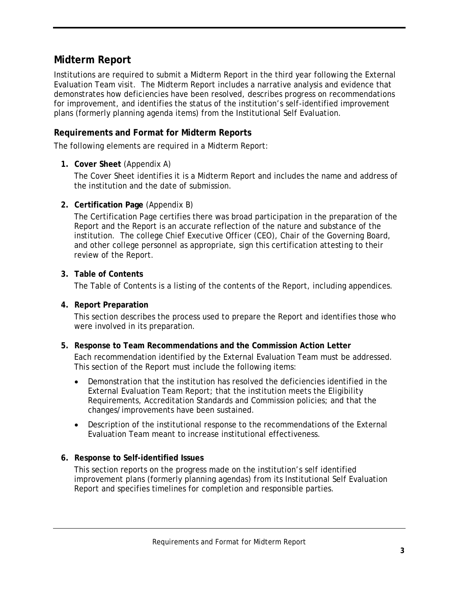#### **Midterm Report**

 Evaluation Team visit. The Midterm Report includes a narrative analysis and evidence that plans (formerly planning agenda items) from the Institutional Self Evaluation. Institutions are required to submit a Midterm Report in the third year following the External demonstrates how deficiencies have been resolved, describes progress on recommendations for improvement, and identifies the status of the institution's self-identified improvement

#### **Requirements and Format for Midterm Reports**

The following elements are required in a Midterm Report:

#### **1. Cover Sheet** (Appendix A)

The Cover Sheet identifies it is a Midterm Report and includes the name and address of the institution and the date of submission.

#### **2. Certification Page** (Appendix B)

 institution. The college Chief Executive Officer (CEO), Chair of the Governing Board, The Certification Page certifies there was broad participation in the preparation of the Report and the Report is an accurate reflection of the nature and substance of the and other college personnel as appropriate, sign this certification attesting to their review of the Report.

#### **3. Table of Contents**

The Table of Contents is a listing of the contents of the Report, including appendices.

#### **4. Report Preparation**

This section describes the process used to prepare the Report and identifies those who were involved in its preparation.

#### **5. Response to Team Recommendations and the Commission Action Letter**

 This section of the Report must include the following items: Each recommendation identified by the External Evaluation Team must be addressed.

- •Demonstration that the institution has resolved the deficiencies identified in the External Evaluation Team Report; that the institution meets the Eligibility Requirements, Accreditation Standards and Commission policies; and that the changes/improvements have been sustained.
- •Description of the institutional response to the recommendations of the External Evaluation Team meant to increase institutional effectiveness.

#### **6. Response to Self-identified Issues**

This section reports on the progress made on the institution's self identified improvement plans (formerly planning agendas) from its Institutional Self Evaluation Report and specifies timelines for completion and responsible parties.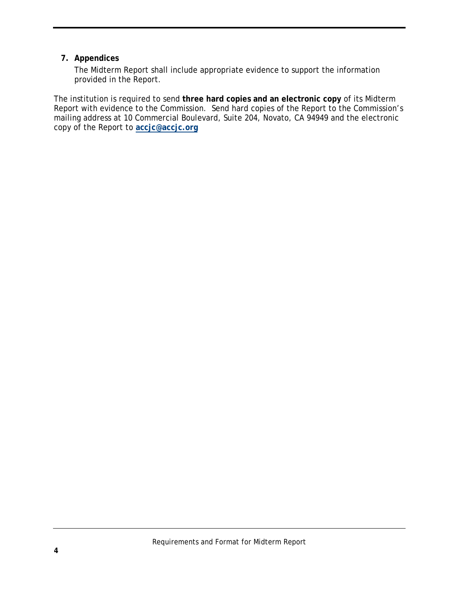#### **7. Appendices**

The Midterm Report shall include appropriate evidence to support the information provided in the Report.

 Report with evidence to the Commission. Send hard copies of the Report to the Commission's The institution is required to send **three hard copies and an electronic copy** of its Midterm mailing address at 10 Commercial Boulevard, Suite 204, Novato, CA 94949 and the electronic copy of the Report to **accjc@accjc.org**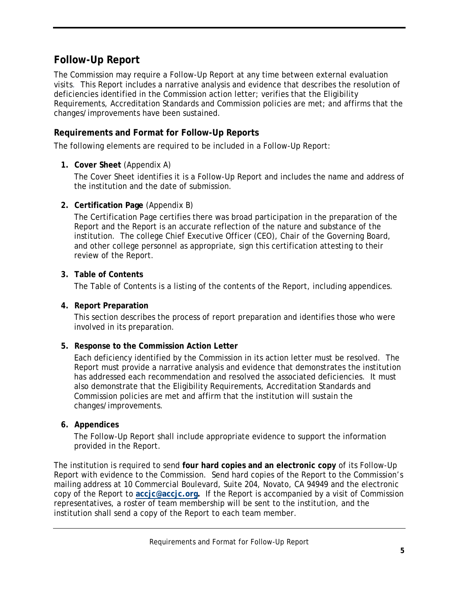#### **Follow-Up Report**

 visits. This Report includes a narrative analysis and evidence that describes the resolution of The Commission may require a Follow-Up Report at any time between external evaluation deficiencies identified in the Commission action letter; verifies that the Eligibility Requirements, Accreditation Standards and Commission policies are met; and affirms that the changes/improvements have been sustained.

#### **Requirements and Format for Follow-Up Reports**

The following elements are required to be included in a Follow-Up Report:

#### **1. Cover Sheet** (Appendix A)

The Cover Sheet identifies it is a Follow-Up Report and includes the name and address of the institution and the date of submission.

#### **2. Certification Page** (Appendix B)

 institution. The college Chief Executive Officer (CEO), Chair of the Governing Board, The Certification Page certifies there was broad participation in the preparation of the Report and the Report is an accurate reflection of the nature and substance of the and other college personnel as appropriate, sign this certification attesting to their review of the Report.

#### **3. Table of Contents**

The Table of Contents is a listing of the contents of the Report, including appendices.

#### **4. Report Preparation**

This section describes the process of report preparation and identifies those who were involved in its preparation.

#### **5. Response to the Commission Action Letter**

 Each deficiency identified by the Commission in its action letter must be resolved. The has addressed each recommendation and resolved the associated deficiencies. It must Report must provide a narrative analysis and evidence that demonstrates the institution also demonstrate that the Eligibility Requirements, Accreditation Standards and Commission policies are met and affirm that the institution will sustain the changes/improvements.

#### **6. Appendices**

The Follow-Up Report shall include appropriate evidence to support the information provided in the Report.

 The institution is required to send **four hard copies and an electronic copy** of its Follow-Up Report with evidence to the Commission. Send hard copies of the Report to the Commission's copy of the Report to **accjc@accjc.org.** If the Report is accompanied by a visit of Commission mailing address at 10 Commercial Boulevard, Suite 204, Novato, CA 94949 and the electronic representatives, a roster of team membership will be sent to the institution, and the institution shall send a copy of the Report to each team member.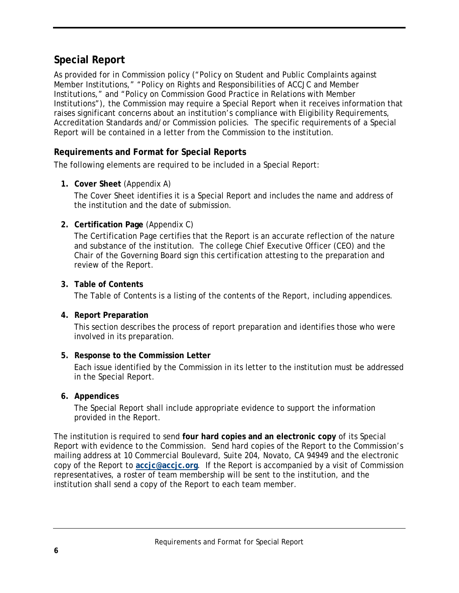#### **Special Report**

 Institutions"), the Commission may require a Special Report when it receives information that As provided for in Commission policy ("Policy on Student and Public Complaints against Member Institutions," "Policy on Rights and Responsibilities of ACCJC and Member Institutions," and "Policy on Commission Good Practice in Relations with Member raises significant concerns about an institution's compliance with Eligibility Requirements, Accreditation Standards and/or Commission policies. The specific requirements of a Special Report will be contained in a letter from the Commission to the institution.

#### **Requirements and Format for Special Reports**

The following elements are required to be included in a Special Report:

#### **1. Cover Sheet** (Appendix A)

 The Cover Sheet identifies it is a Special Report and includes the name and address of the institution and the date of submission.

#### **2. Certification Page** (Appendix C)

 and substance of the institution. The college Chief Executive Officer (CEO) and the The Certification Page certifies that the Report is an accurate reflection of the nature Chair of the Governing Board sign this certification attesting to the preparation and review of the Report.

#### **3. Table of Contents**

The Table of Contents is a listing of the contents of the Report, including appendices.

#### **4. Report Preparation**

This section describes the process of report preparation and identifies those who were involved in its preparation.

#### **5. Response to the Commission Letter**

Each issue identified by the Commission in its letter to the institution must be addressed in the Special Report.

#### **6. Appendices**

The Special Report shall include appropriate evidence to support the information provided in the Report.

 The institution is required to send **four hard copies and an electronic copy** of its Special Report with evidence to the Commission. Send hard copies of the Report to the Commission's mailing address at 10 Commercial Boulevard, Suite 204, Novato, CA 94949 and the electronic copy of the Report to **accjc@accjc.org**. If the Report is accompanied by a visit of Commission representatives, a roster of team membership will be sent to the institution, and the institution shall send a copy of the Report to each team member.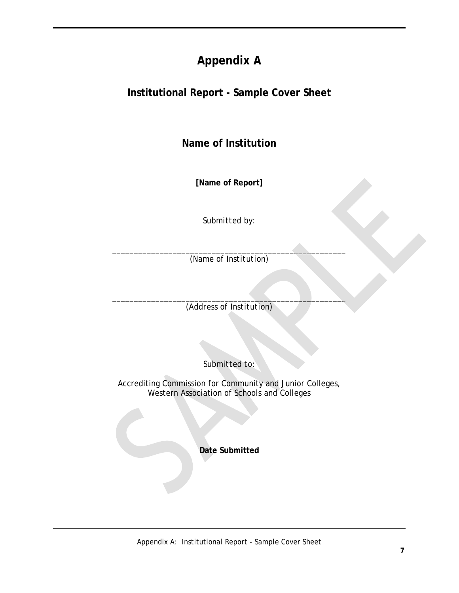### 

# <span id="page-10-0"></span>- Sample Cover Sheet **Appendix A<br>Institutional Report - Sample Cover Sheet<br>Name of Institution**

**[Name of Report]** 

*Submitted by:* 

\_\_\_\_\_\_\_\_\_\_\_\_\_\_\_\_\_\_\_\_\_\_\_\_\_\_\_\_\_\_\_\_\_\_\_\_\_\_\_\_\_\_\_\_\_\_\_\_\_\_\_\_\_\_ *(Name of Institution)* 

 $\overline{\phantom{a}}$  , and the contract of the contract of  $\overline{\phantom{a}}$ *(Address of Institution)* 

*Submitted to:* 

Accrediting Commission for Community and Junior Colleges, Western Association of Schools and Colleges

**Date Submitted**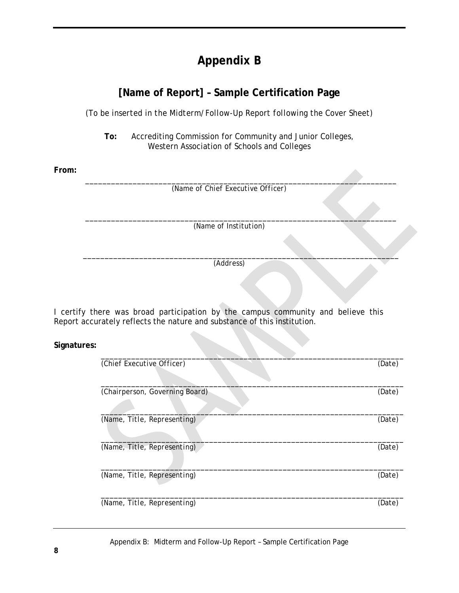### **Appendix B**

# **Appendix B<br>[Name of Report] - Sample Certification Page**

*(To be inserted in the Midterm/Follow-Up Report following the Cover Sheet)* 

To: Accrediting Commission for Community and Junior Colleges,<br>Western Association of Schools and Colleges Western Association of Schools and Colleges

**From:** 

*\_\_\_\_\_\_\_\_\_\_\_\_\_\_\_\_\_\_\_\_\_\_\_\_\_\_\_\_\_\_\_\_\_\_\_\_\_\_\_\_\_\_\_\_\_\_\_\_\_\_\_\_\_\_\_\_\_\_\_\_\_\_\_\_\_\_\_\_\_\_\_\_*  (*Name of Chief Executive Officer*)

*\_\_\_\_\_\_\_\_\_\_\_\_\_\_\_\_\_\_\_\_\_\_\_\_\_\_\_\_\_\_\_\_\_\_\_\_\_\_\_\_\_\_\_\_\_\_\_\_\_\_\_\_\_\_\_\_\_\_\_\_\_\_\_\_\_\_\_\_\_\_\_\_*  (*Name of Institution*)

*\_\_\_\_\_\_\_\_\_\_\_\_\_\_\_\_\_\_\_\_\_\_\_\_\_\_\_\_\_\_\_\_\_\_\_\_\_\_\_\_\_\_\_\_\_\_\_\_\_\_\_\_\_\_\_\_\_\_\_\_\_\_\_\_\_\_\_\_\_\_\_\_\_*  (*Address*)

I certify there was broad participation by the campus community and believe this Report accurately reflects the nature and substance of this institution.

**Signatures:** 

| (Chief Executive Officer)      | (Date) |
|--------------------------------|--------|
| (Chairperson, Governing Board) | (Date) |
|                                |        |
| (Name, Title, Representing)    | (Date) |
| (Name, Title, Representing)    | (Date) |
| (Name, Title, Representing)    | (Date) |
| (Name, Title, Representing)    | (Date) |